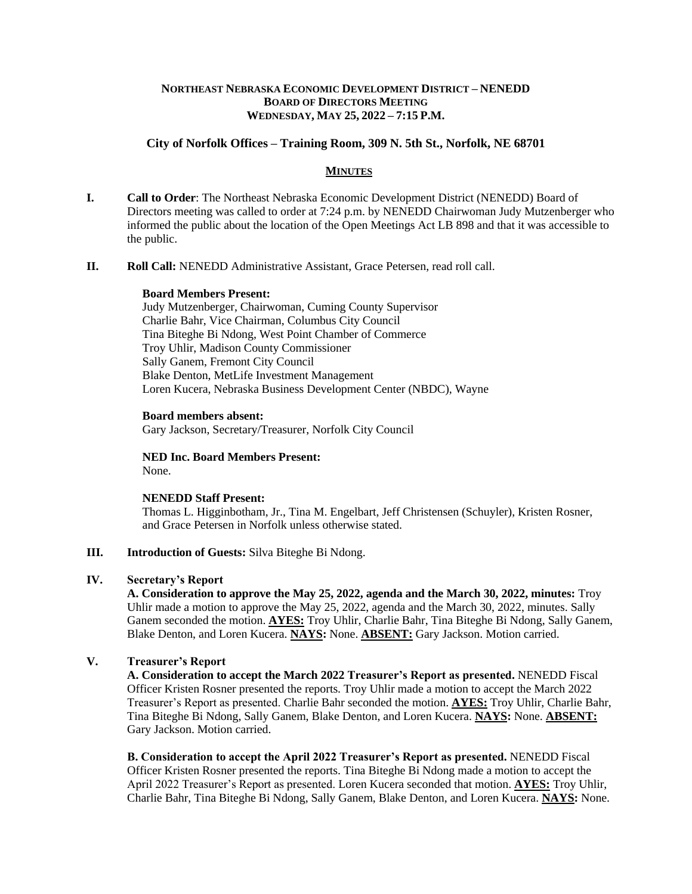# **NORTHEAST NEBRASKA ECONOMIC DEVELOPMENT DISTRICT – NENEDD BOARD OF DIRECTORS MEETING WEDNESDAY, MAY 25, 2022 – 7:15 P.M.**

# **City of Norfolk Offices – Training Room, 309 N. 5th St., Norfolk, NE 68701**

# **MINUTES**

- **I. Call to Order**: The Northeast Nebraska Economic Development District (NENEDD) Board of Directors meeting was called to order at 7:24 p.m. by NENEDD Chairwoman Judy Mutzenberger who informed the public about the location of the Open Meetings Act LB 898 and that it was accessible to the public.
- **II. Roll Call:** NENEDD Administrative Assistant, Grace Petersen, read roll call.

#### **Board Members Present:**

Judy Mutzenberger, Chairwoman, Cuming County Supervisor Charlie Bahr, Vice Chairman, Columbus City Council Tina Biteghe Bi Ndong, West Point Chamber of Commerce Troy Uhlir, Madison County Commissioner Sally Ganem, Fremont City Council Blake Denton, MetLife Investment Management Loren Kucera, Nebraska Business Development Center (NBDC), Wayne

#### **Board members absent:**

Gary Jackson, Secretary/Treasurer, Norfolk City Council

**NED Inc. Board Members Present:** None.

### **NENEDD Staff Present:**

Thomas L. Higginbotham, Jr., Tina M. Engelbart, Jeff Christensen (Schuyler), Kristen Rosner, and Grace Petersen in Norfolk unless otherwise stated.

## **III. Introduction of Guests:** Silva Biteghe Bi Ndong.

### **IV. Secretary's Report**

**A. Consideration to approve the May 25, 2022, agenda and the March 30, 2022, minutes:** Troy Uhlir made a motion to approve the May 25, 2022, agenda and the March 30, 2022, minutes. Sally Ganem seconded the motion. **AYES:** Troy Uhlir, Charlie Bahr, Tina Biteghe Bi Ndong, Sally Ganem, Blake Denton, and Loren Kucera. **NAYS:** None. **ABSENT:** Gary Jackson. Motion carried.

# **V. Treasurer's Report**

**A. Consideration to accept the March 2022 Treasurer's Report as presented.** NENEDD Fiscal Officer Kristen Rosner presented the reports. Troy Uhlir made a motion to accept the March 2022 Treasurer's Report as presented. Charlie Bahr seconded the motion. **AYES:** Troy Uhlir, Charlie Bahr, Tina Biteghe Bi Ndong, Sally Ganem, Blake Denton, and Loren Kucera. **NAYS:** None. **ABSENT:** Gary Jackson. Motion carried.

**B. Consideration to accept the April 2022 Treasurer's Report as presented.** NENEDD Fiscal Officer Kristen Rosner presented the reports. Tina Biteghe Bi Ndong made a motion to accept the April 2022 Treasurer's Report as presented. Loren Kucera seconded that motion. **AYES:** Troy Uhlir, Charlie Bahr, Tina Biteghe Bi Ndong, Sally Ganem, Blake Denton, and Loren Kucera. **NAYS:** None.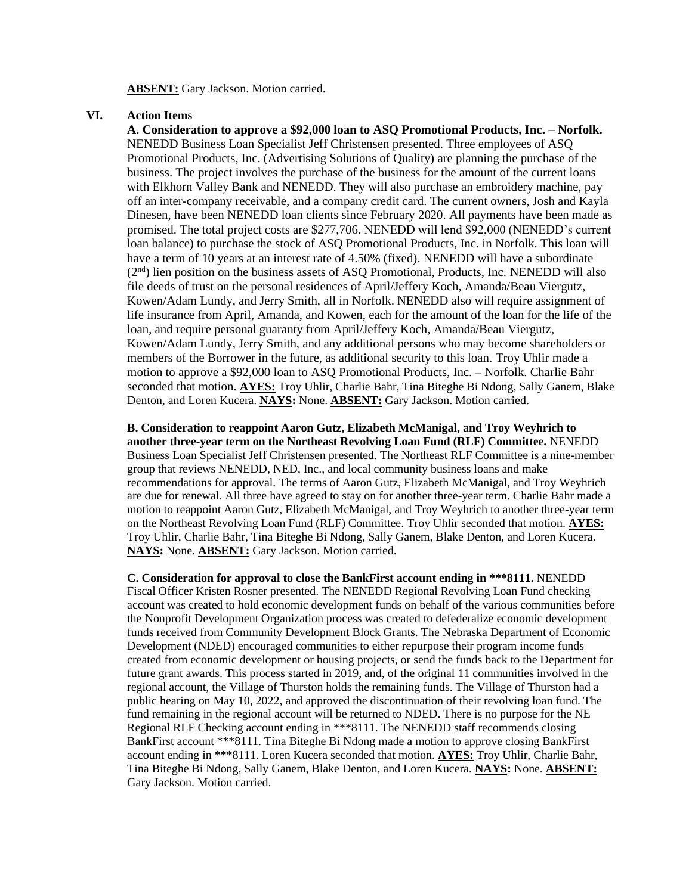#### **ABSENT:** Gary Jackson. Motion carried.

## **VI. Action Items**

**A. Consideration to approve a \$92,000 loan to ASQ Promotional Products, Inc. – Norfolk.**  NENEDD Business Loan Specialist Jeff Christensen presented. Three employees of ASQ Promotional Products, Inc. (Advertising Solutions of Quality) are planning the purchase of the business. The project involves the purchase of the business for the amount of the current loans with Elkhorn Valley Bank and NENEDD. They will also purchase an embroidery machine, pay off an inter-company receivable, and a company credit card. The current owners, Josh and Kayla Dinesen, have been NENEDD loan clients since February 2020. All payments have been made as promised. The total project costs are \$277,706. NENEDD will lend \$92,000 (NENEDD's current loan balance) to purchase the stock of ASQ Promotional Products, Inc. in Norfolk. This loan will have a term of 10 years at an interest rate of 4.50% (fixed). NENEDD will have a subordinate (2nd) lien position on the business assets of ASQ Promotional, Products, Inc. NENEDD will also file deeds of trust on the personal residences of April/Jeffery Koch, Amanda/Beau Viergutz, Kowen/Adam Lundy, and Jerry Smith, all in Norfolk. NENEDD also will require assignment of life insurance from April, Amanda, and Kowen, each for the amount of the loan for the life of the loan, and require personal guaranty from April/Jeffery Koch, Amanda/Beau Viergutz, Kowen/Adam Lundy, Jerry Smith, and any additional persons who may become shareholders or members of the Borrower in the future, as additional security to this loan. Troy Uhlir made a motion to approve a \$92,000 loan to ASQ Promotional Products, Inc. – Norfolk. Charlie Bahr seconded that motion. **AYES:** Troy Uhlir, Charlie Bahr, Tina Biteghe Bi Ndong, Sally Ganem, Blake Denton, and Loren Kucera. **NAYS:** None. **ABSENT:** Gary Jackson. Motion carried.

**B. Consideration to reappoint Aaron Gutz, Elizabeth McManigal, and Troy Weyhrich to another three-year term on the Northeast Revolving Loan Fund (RLF) Committee.** NENEDD Business Loan Specialist Jeff Christensen presented. The Northeast RLF Committee is a nine-member group that reviews NENEDD, NED, Inc., and local community business loans and make recommendations for approval. The terms of Aaron Gutz, Elizabeth McManigal, and Troy Weyhrich are due for renewal. All three have agreed to stay on for another three-year term. Charlie Bahr made a motion to reappoint Aaron Gutz, Elizabeth McManigal, and Troy Weyhrich to another three-year term on the Northeast Revolving Loan Fund (RLF) Committee. Troy Uhlir seconded that motion. **AYES:** Troy Uhlir, Charlie Bahr, Tina Biteghe Bi Ndong, Sally Ganem, Blake Denton, and Loren Kucera. **NAYS:** None. **ABSENT:** Gary Jackson. Motion carried.

**C. Consideration for approval to close the BankFirst account ending in \*\*\*8111.** NENEDD Fiscal Officer Kristen Rosner presented. The NENEDD Regional Revolving Loan Fund checking account was created to hold economic development funds on behalf of the various communities before the Nonprofit Development Organization process was created to defederalize economic development funds received from Community Development Block Grants. The Nebraska Department of Economic Development (NDED) encouraged communities to either repurpose their program income funds created from economic development or housing projects, or send the funds back to the Department for future grant awards. This process started in 2019, and, of the original 11 communities involved in the regional account, the Village of Thurston holds the remaining funds. The Village of Thurston had a public hearing on May 10, 2022, and approved the discontinuation of their revolving loan fund. The fund remaining in the regional account will be returned to NDED. There is no purpose for the NE Regional RLF Checking account ending in \*\*\*8111. The NENEDD staff recommends closing BankFirst account \*\*\*8111. Tina Biteghe Bi Ndong made a motion to approve closing BankFirst account ending in \*\*\*8111. Loren Kucera seconded that motion. **AYES:** Troy Uhlir, Charlie Bahr, Tina Biteghe Bi Ndong, Sally Ganem, Blake Denton, and Loren Kucera. **NAYS:** None. **ABSENT:** Gary Jackson. Motion carried.